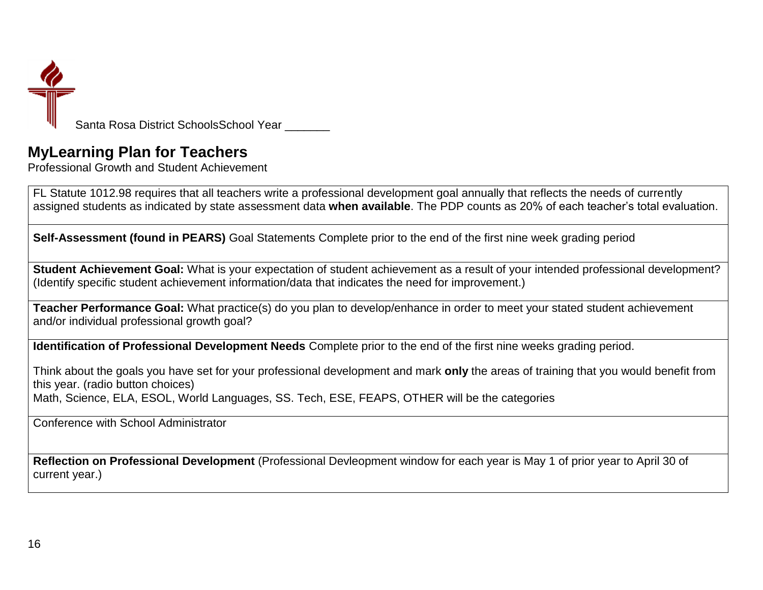

## **MyLearning Plan for Teachers**

Professional Growth and Student Achievement

FL Statute 1012.98 requires that all teachers write a professional development goal annually that reflects the needs of currently assigned students as indicated by state assessment data **when available**. The PDP counts as 20% of each teacher's total evaluation.

**Self-Assessment (found in PEARS)** Goal Statements Complete prior to the end of the first nine week grading period

**Student Achievement Goal:** What is your expectation of student achievement as a result of your intended professional development? (Identify specific student achievement information/data that indicates the need for improvement.)

**Teacher Performance Goal:** What practice(s) do you plan to develop/enhance in order to meet your stated student achievement and/or individual professional growth goal?

**Identification of Professional Development Needs** Complete prior to the end of the first nine weeks grading period.

Think about the goals you have set for your professional development and mark **only** the areas of training that you would benefit from this year. (radio button choices) Math, Science, ELA, ESOL, World Languages, SS. Tech, ESE, FEAPS, OTHER will be the categories

Conference with School Administrator

**Reflection on Professional Development** (Professional Devleopment window for each year is May 1 of prior year to April 30 of current year.)